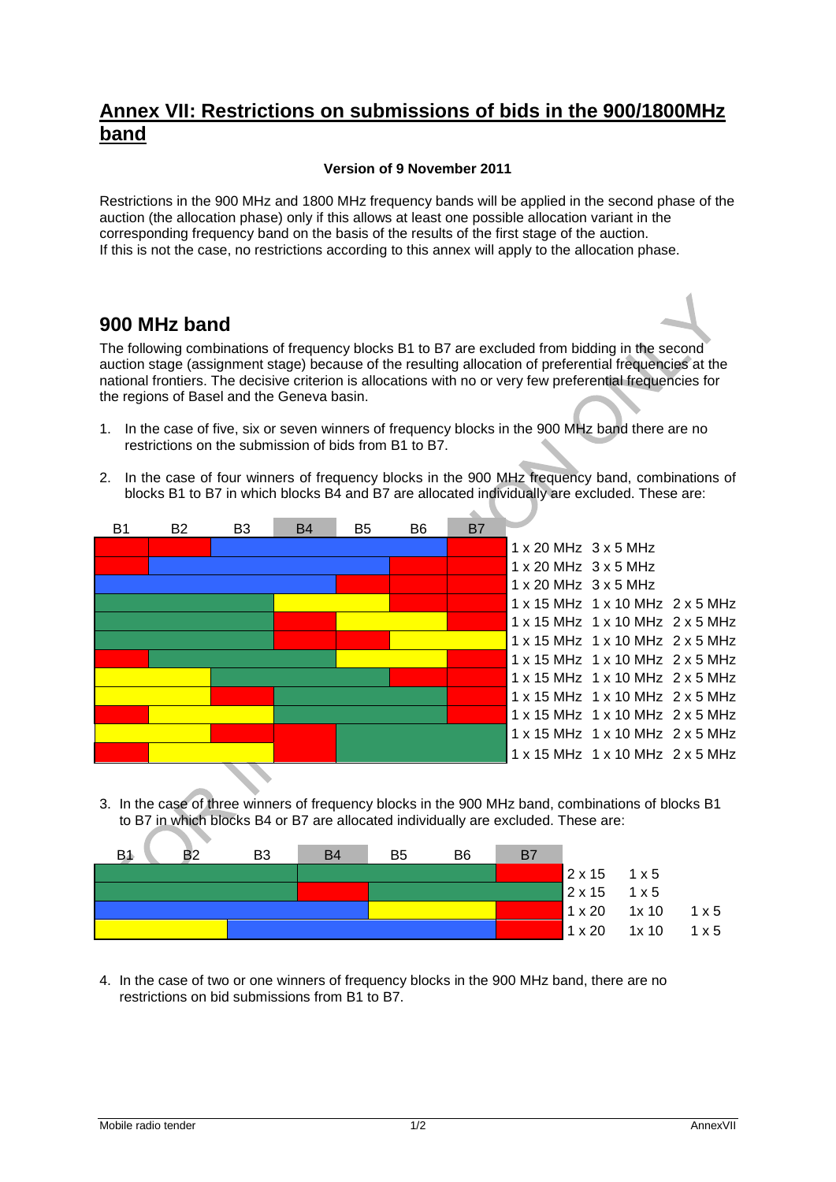## **Annex VII: Restrictions on submissions of bids in the 900/1800MHz band**

## **Version of 9 November 2011**

Restrictions in the 900 MHz and 1800 MHz frequency bands will be applied in the second phase of the auction (the allocation phase) only if this allows at least one possible allocation variant in the corresponding frequency band on the basis of the results of the first stage of the auction. If this is not the case, no restrictions according to this annex will apply to the allocation phase.

## **900 MHz band**

The following combinations of frequency blocks B1 to B7 are excluded from bidding in the second auction stage (assignment stage) because of the resulting allocation of preferential frequencies at the national frontiers. The decisive criterion is allocations with no or very few preferential frequencies for the regions of Basel and the Geneva basin.

- 1. In the case of five, six or seven winners of frequency blocks in the 900 MHz band there are no restrictions on the submission of bids from B1 to B7.
- 2. In the case of four winners of frequency blocks in the 900 MHz frequency band, combinations of blocks B1 to B7 in which blocks B4 and B7 are allocated individually are excluded. These are:



3. In the case of three winners of frequency blocks in the 900 MHz band, combinations of blocks B1 to B7 in which blocks B4 or B7 are allocated individually are excluded. These are:

| B1 | B <sub>3</sub> | <b>B4</b> | B5 | B <sub>6</sub> | B7 |                            |                          |              |
|----|----------------|-----------|----|----------------|----|----------------------------|--------------------------|--------------|
|    |                |           |    |                |    | $2 \times 15$ 1 $\times 5$ |                          |              |
|    |                |           |    |                |    | $2x15$ 1x5                 |                          |              |
|    |                |           |    |                |    |                            | $1 \times 20$ 1x 10 1x 5 |              |
|    |                |           |    |                |    | $1 \times 20$              | 1x10                     | $1 \times 5$ |

4. In the case of two or one winners of frequency blocks in the 900 MHz band, there are no restrictions on bid submissions from B1 to B7.